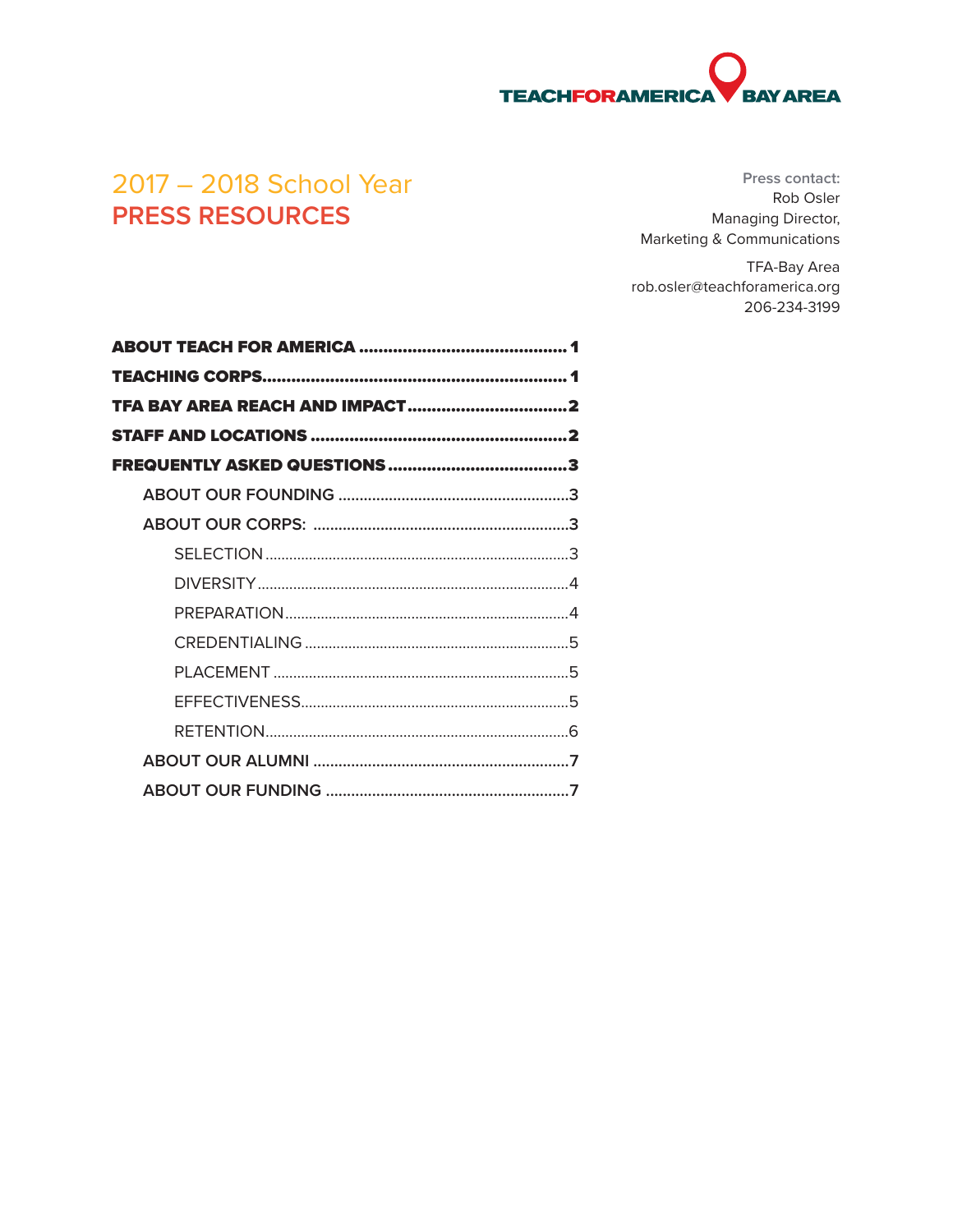# **TEACHFORAMERIC BAY AREA**

# 2017 - 2018 School Year **PRESS RESOURCES**

Press contact: Rob Osler Managing Director, Marketing & Communications

**TFA-Bay Area** rob.osler@teachforamerica.org 206-234-3199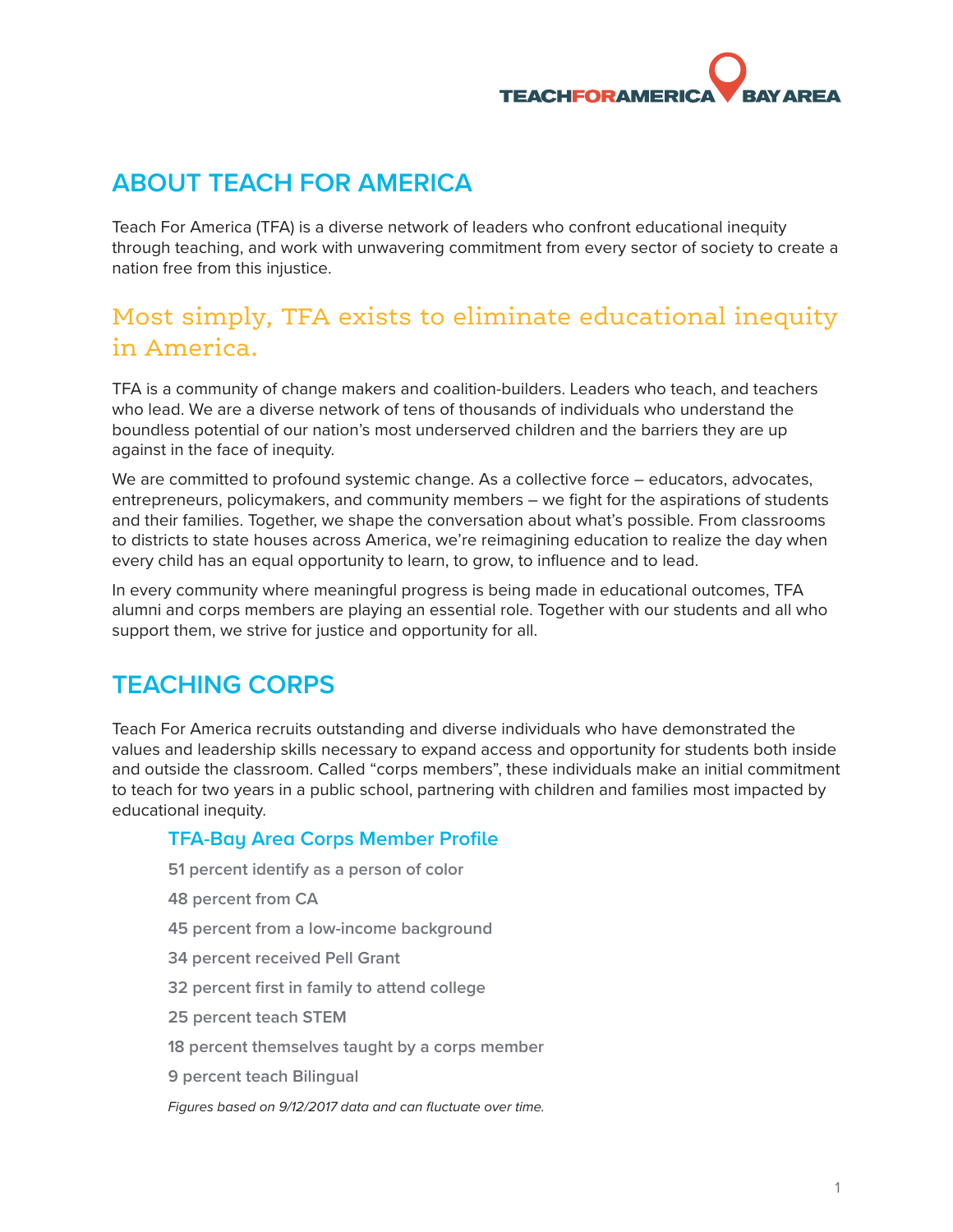# <span id="page-1-0"></span>**ABOUT TEACH FOR AMERICA**

Teach For America (TFA) is a diverse network of leaders who confront educational inequity through teaching, and work with unwavering commitment from every sector of society to create a nation free from this injustice.

# Most simply, TFA exists to eliminate educational inequity in America.

TFA is a community of change makers and coalition-builders. Leaders who teach, and teachers who lead. We are a diverse network of tens of thousands of individuals who understand the boundless potential of our nation's most underserved children and the barriers they are up against in the face of inequity.

We are committed to profound systemic change. As a collective force – educators, advocates, entrepreneurs, policymakers, and community members – we fight for the aspirations of students and their families. Together, we shape the conversation about what's possible. From classrooms to districts to state houses across America, we're reimagining education to realize the day when every child has an equal opportunity to learn, to grow, to influence and to lead.

In every community where meaningful progress is being made in educational outcomes, TFA alumni and corps members are playing an essential role. Together with our students and all who support them, we strive for justice and opportunity for all.

# <span id="page-1-1"></span>**TEACHING CORPS**

Teach For America recruits outstanding and diverse individuals who have demonstrated the values and leadership skills necessary to expand access and opportunity for students both inside and outside the classroom. Called "corps members", these individuals make an initial commitment to teach for two years in a public school, partnering with children and families most impacted by educational inequity.

#### **TFA-Bay Area Corps Member Profile**

- **51 percent identify as a person of color**
- **48 percent from CA**
- **45 percent from a low-income background**
- **34 percent received Pell Grant**
- **32 percent first in family to attend college**
- **25 percent teach STEM**
- **18 percent themselves taught by a corps member**
- **9 percent teach Bilingual**

*Figures based on 9/12/2017 data and can fluctuate over time.*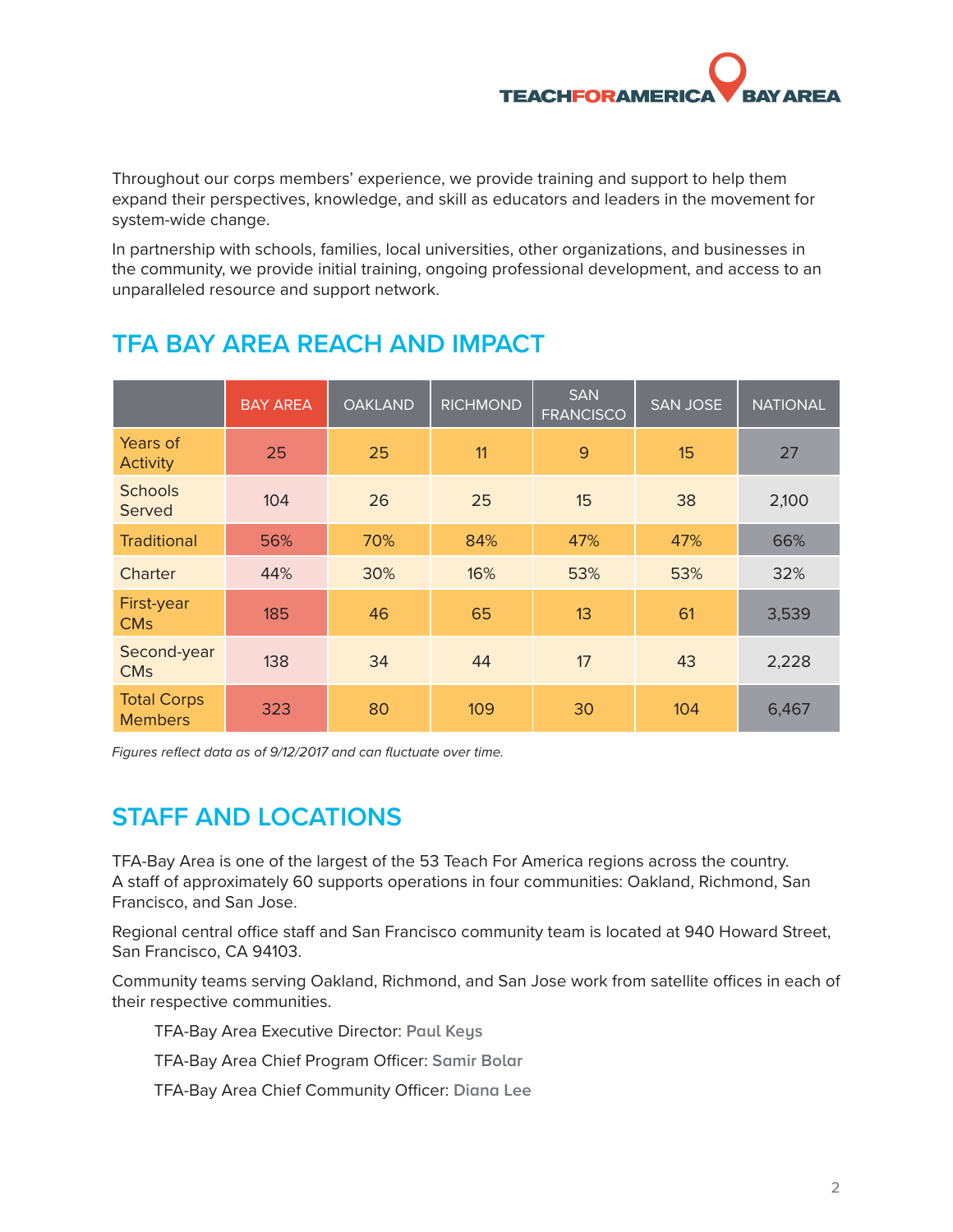# **TEACHFORAMER**

<span id="page-2-0"></span>Throughout our corps members' experience, we provide training and support to help them expand their perspectives, knowledge, and skill as educators and leaders in the movement for system-wide change.

In partnership with schools, families, local universities, other organizations, and businesses in the community, we provide initial training, ongoing professional development, and access to an unparalleled resource and support network.

|                                      | <b>BAY AREA</b> | <b>OAKLAND</b> | <b>RICHMOND</b> | <b>SAN</b><br><b>FRANCISCO</b> | <b>SAN JOSE</b> | <b>NATIONAL</b> |
|--------------------------------------|-----------------|----------------|-----------------|--------------------------------|-----------------|-----------------|
| Years of<br><b>Activity</b>          | 25              | 25             | 11              | 9                              | 15              | 27              |
| <b>Schools</b><br>Served             | 104             | 26             | 25              | 15                             | 38              | 2,100           |
| <b>Traditional</b>                   | 56%             | 70%            | 84%             | 47%                            | 47%             | 66%             |
| Charter                              | 44%             | 30%            | 16%             | 53%                            | 53%             | 32%             |
| First-year<br><b>CM<sub>S</sub></b>  | 185             | 46             | 65              | 13                             | 61              | 3,539           |
| Second-year<br><b>CM<sub>S</sub></b> | 138             | 34             | 44              | 17                             | 43              | 2,228           |
| <b>Total Corps</b><br><b>Members</b> | 323             | 80             | 109             | 30                             | 104             | 6,467           |

# **TFA BAY AREA REACH AND IMPACT**

*Figures reflect data as of 9/12/2017 and can fluctuate over time.*

# **STAFF AND LOCATIONS**

TFA-Bay Area is one of the largest of the 53 Teach For America regions across the country. A staff of approximately 60 supports operations in four communities: Oakland, Richmond, San Francisco, and San Jose.

Regional central office staff and San Francisco community team is located at 940 Howard Street, San Francisco, CA 94103.

Community teams serving Oakland, Richmond, and San Jose work from satellite offices in each of their respective communities.

TFA-Bay Area Executive Director: **Paul Keys**

TFA-Bay Area Chief Program Officer: **Samir Bolar**

TFA-Bay Area Chief Community Officer: **Diana Lee**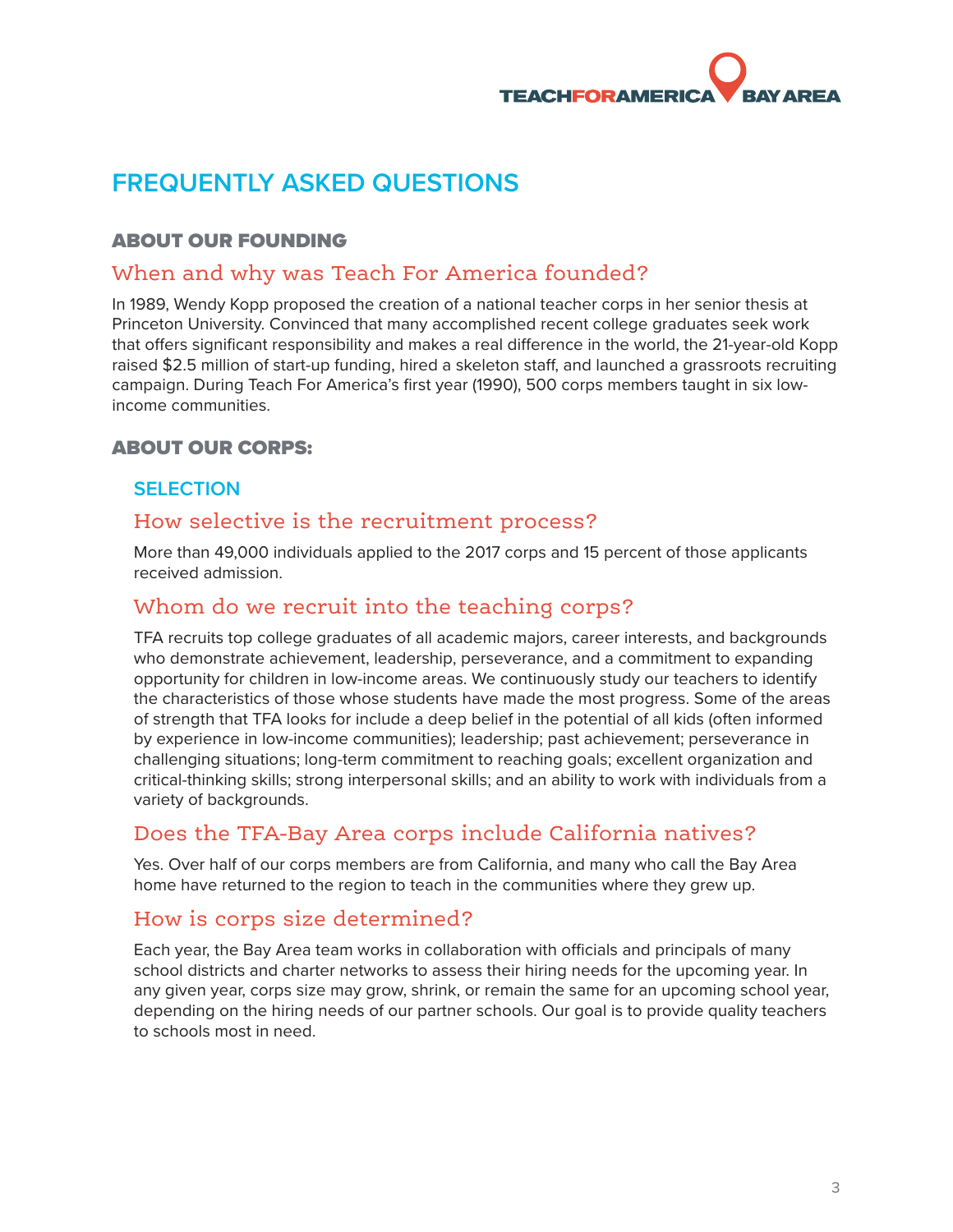# <span id="page-3-0"></span>**FREQUENTLY ASKED QUESTIONS**

# ABOUT OUR FOUNDING

# When and why was Teach For America founded?

In 1989, Wendy Kopp proposed the creation of a national teacher corps in her senior thesis at Princeton University. Convinced that many accomplished recent college graduates seek work that offers significant responsibility and makes a real difference in the world, the 21-year-old Kopp raised \$2.5 million of start-up funding, hired a skeleton staff, and launched a grassroots recruiting campaign. During Teach For America's first year (1990), 500 corps members taught in six lowincome communities.

## ABOUT OUR CORPS:

#### **SELECTION**

# How selective is the recruitment process?

More than 49,000 individuals applied to the 2017 corps and 15 percent of those applicants received admission.

# Whom do we recruit into the teaching corps?

TFA recruits top college graduates of all academic majors, career interests, and backgrounds who demonstrate achievement, leadership, perseverance, and a commitment to expanding opportunity for children in low-income areas. We continuously study our teachers to identify the characteristics of those whose students have made the most progress. Some of the areas of strength that TFA looks for include a deep belief in the potential of all kids (often informed by experience in low-income communities); leadership; past achievement; perseverance in challenging situations; long-term commitment to reaching goals; excellent organization and critical-thinking skills; strong interpersonal skills; and an ability to work with individuals from a variety of backgrounds.

# Does the TFA-Bay Area corps include California natives?

Yes. Over half of our corps members are from California, and many who call the Bay Area home have returned to the region to teach in the communities where they grew up.

# How is corps size determined?

Each year, the Bay Area team works in collaboration with officials and principals of many school districts and charter networks to assess their hiring needs for the upcoming year. In any given year, corps size may grow, shrink, or remain the same for an upcoming school year, depending on the hiring needs of our partner schools. Our goal is to provide quality teachers to schools most in need.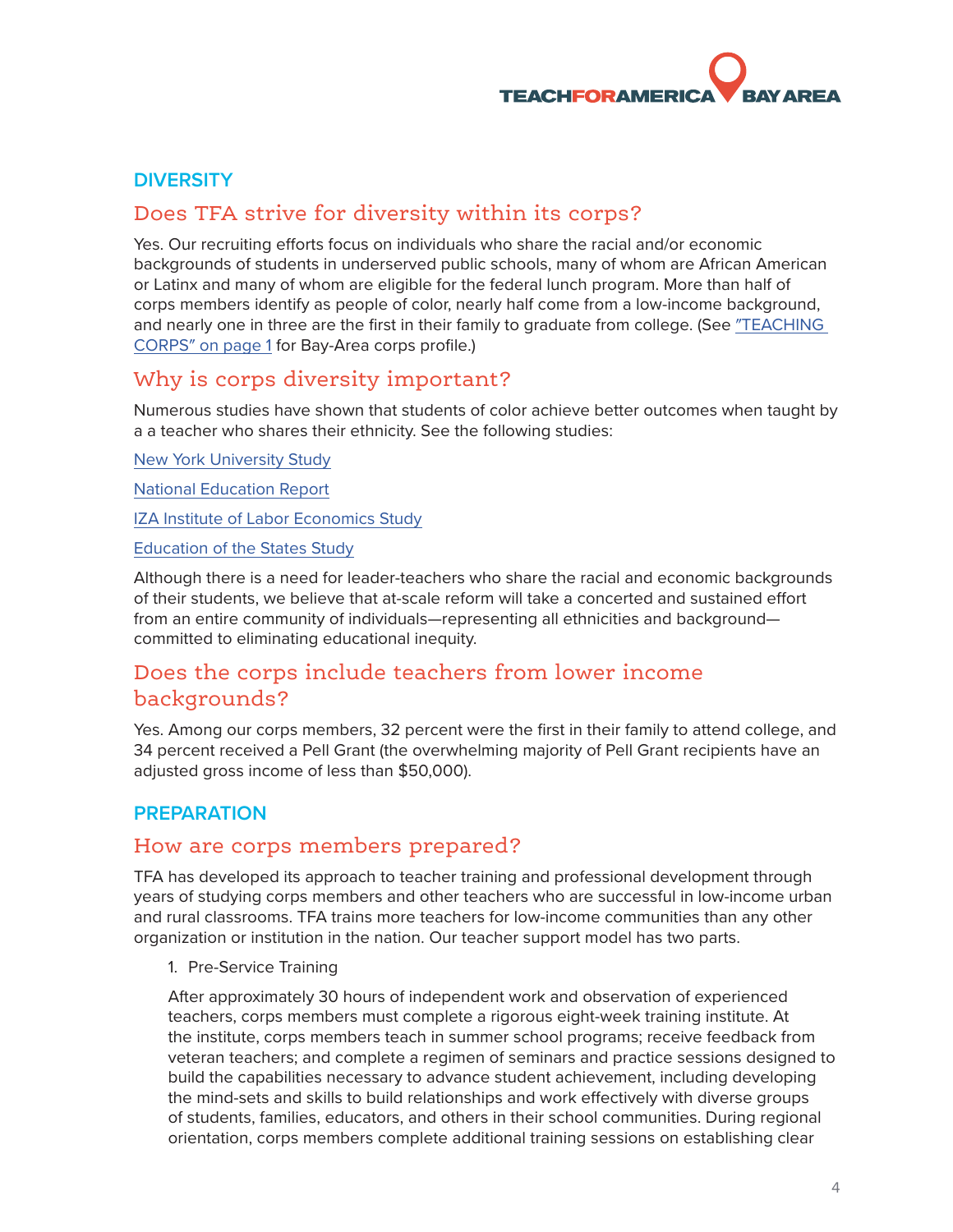#### <span id="page-4-0"></span>**DIVERSITY**

# Does TFA strive for diversity within its corps?

Yes. Our recruiting efforts focus on individuals who share the racial and/or economic backgrounds of students in underserved public schools, many of whom are African American or Latinx and many of whom are eligible for the federal lunch program. More than half of corps members identify as people of color, nearly half come from a low-income background, and nearly one in three are the first in their family to graduate from college. (See "TEACHING [CORPS" on page 1](#page-1-1) for Bay-Area corps profile.)

# Why is corps diversity important?

Numerous studies have shown that students of color achieve better outcomes when taught by a a teacher who shares their ethnicity. See the following studies:

[New York University Study](https://www.nyu.edu/about/news-publications/news/2016/october/students-of-all-races-prefer-teachers-of-color--finds-nyu-steinh.html)

[National Education Report](http://www.nea.org/assets/docs/Time_for_a_Change_Diversity_in_Teaching_Revisited_(web).pdf)

[IZA Institute of Labor Economics Study](http://ftp.iza.org/dp10630.pdf)

[Education of the States Study](http://ecs.force.com/studies/rstudypg?id=a0r70000007IVXUAA4)

Although there is a need for leader-teachers who share the racial and economic backgrounds of their students, we believe that at-scale reform will take a concerted and sustained effort from an entire community of individuals—representing all ethnicities and background committed to eliminating educational inequity.

# Does the corps include teachers from lower income backgrounds?

Yes. Among our corps members, 32 percent were the first in their family to attend college, and 34 percent received a Pell Grant (the overwhelming majority of Pell Grant recipients have an adjusted gross income of less than \$50,000).

#### **PREPARATION**

# How are corps members prepared?

TFA has developed its approach to teacher training and professional development through years of studying corps members and other teachers who are successful in low-income urban and rural classrooms. TFA trains more teachers for low-income communities than any other organization or institution in the nation. Our teacher support model has two parts.

#### 1. Pre-Service Training

After approximately 30 hours of independent work and observation of experienced teachers, corps members must complete a rigorous eight-week training institute. At the institute, corps members teach in summer school programs; receive feedback from veteran teachers; and complete a regimen of seminars and practice sessions designed to build the capabilities necessary to advance student achievement, including developing the mind-sets and skills to build relationships and work effectively with diverse groups of students, families, educators, and others in their school communities. During regional orientation, corps members complete additional training sessions on establishing clear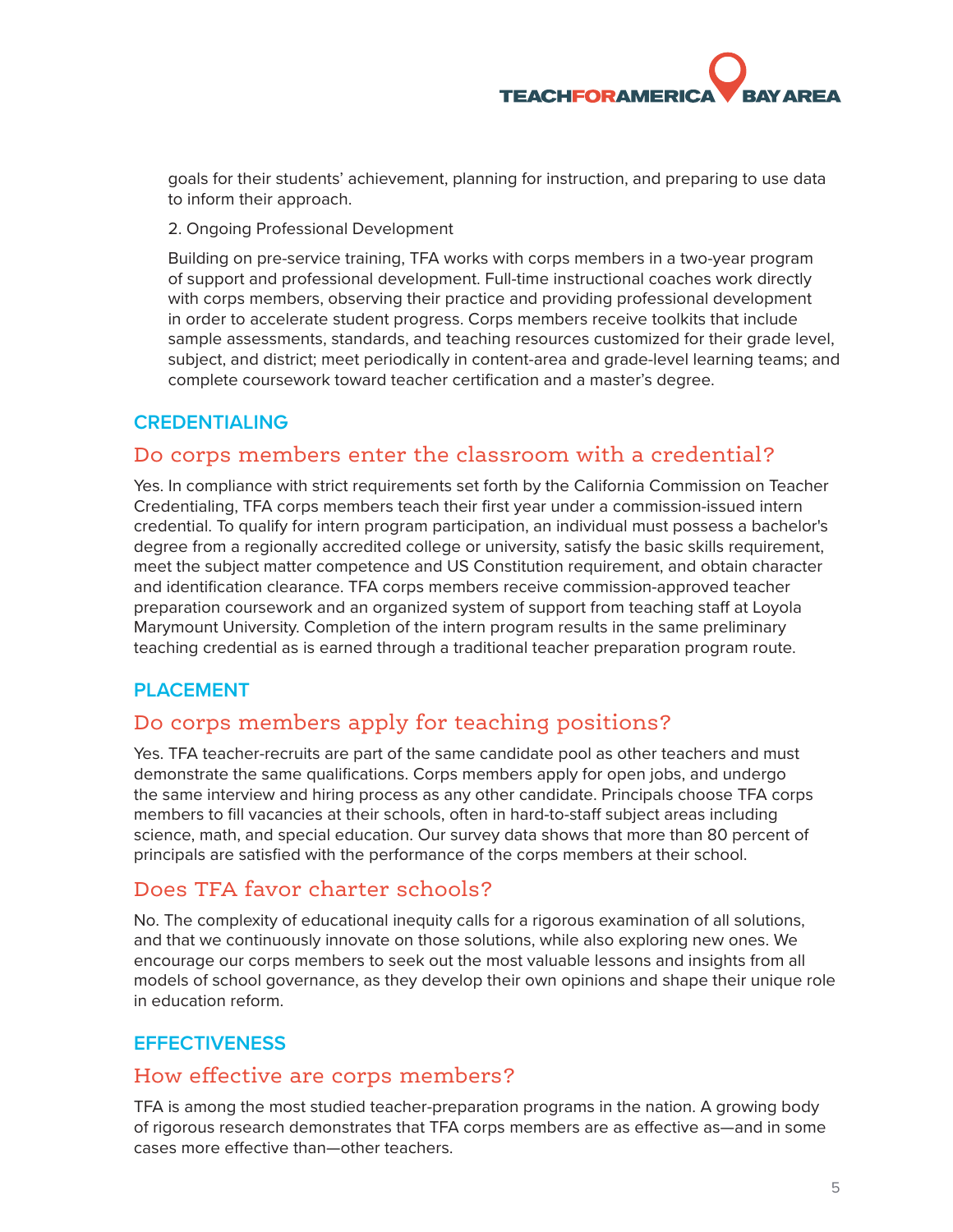<span id="page-5-0"></span>goals for their students' achievement, planning for instruction, and preparing to use data to inform their approach.

2. Ongoing Professional Development

Building on pre-service training, TFA works with corps members in a two-year program of support and professional development. Full-time instructional coaches work directly with corps members, observing their practice and providing professional development in order to accelerate student progress. Corps members receive toolkits that include sample assessments, standards, and teaching resources customized for their grade level, subject, and district; meet periodically in content-area and grade-level learning teams; and complete coursework toward teacher certification and a master's degree.

## **CREDENTIALING**

# Do corps members enter the classroom with a credential?

Yes. In compliance with strict requirements set forth by the California Commission on Teacher Credentialing, TFA corps members teach their first year under a commission-issued intern credential. To qualify for intern program participation, an individual must possess a bachelor's degree from a regionally accredited college or university, satisfy the basic skills requirement, meet the subject matter competence and US Constitution requirement, and obtain character and identification clearance. TFA corps members receive commission-approved teacher preparation coursework and an organized system of support from teaching staff at Loyola Marymount University. Completion of the intern program results in the same preliminary teaching credential as is earned through a traditional teacher preparation program route.

#### **PLACEMENT**

# Do corps members apply for teaching positions?

Yes. TFA teacher-recruits are part of the same candidate pool as other teachers and must demonstrate the same qualifications. Corps members apply for open jobs, and undergo the same interview and hiring process as any other candidate. Principals choose TFA corps members to fill vacancies at their schools, often in hard-to-staff subject areas including science, math, and special education. Our survey data shows that more than 80 percent of principals are satisfied with the performance of the corps members at their school.

# Does TFA favor charter schools?

No. The complexity of educational inequity calls for a rigorous examination of all solutions, and that we continuously innovate on those solutions, while also exploring new ones. We encourage our corps members to seek out the most valuable lessons and insights from all models of school governance, as they develop their own opinions and shape their unique role in education reform.

# **EFFECTIVENESS**

# How effective are corps members?

TFA is among the most studied teacher-preparation programs in the nation. A growing body of rigorous research demonstrates that TFA corps members are as effective as—and in some cases more effective than—other teachers.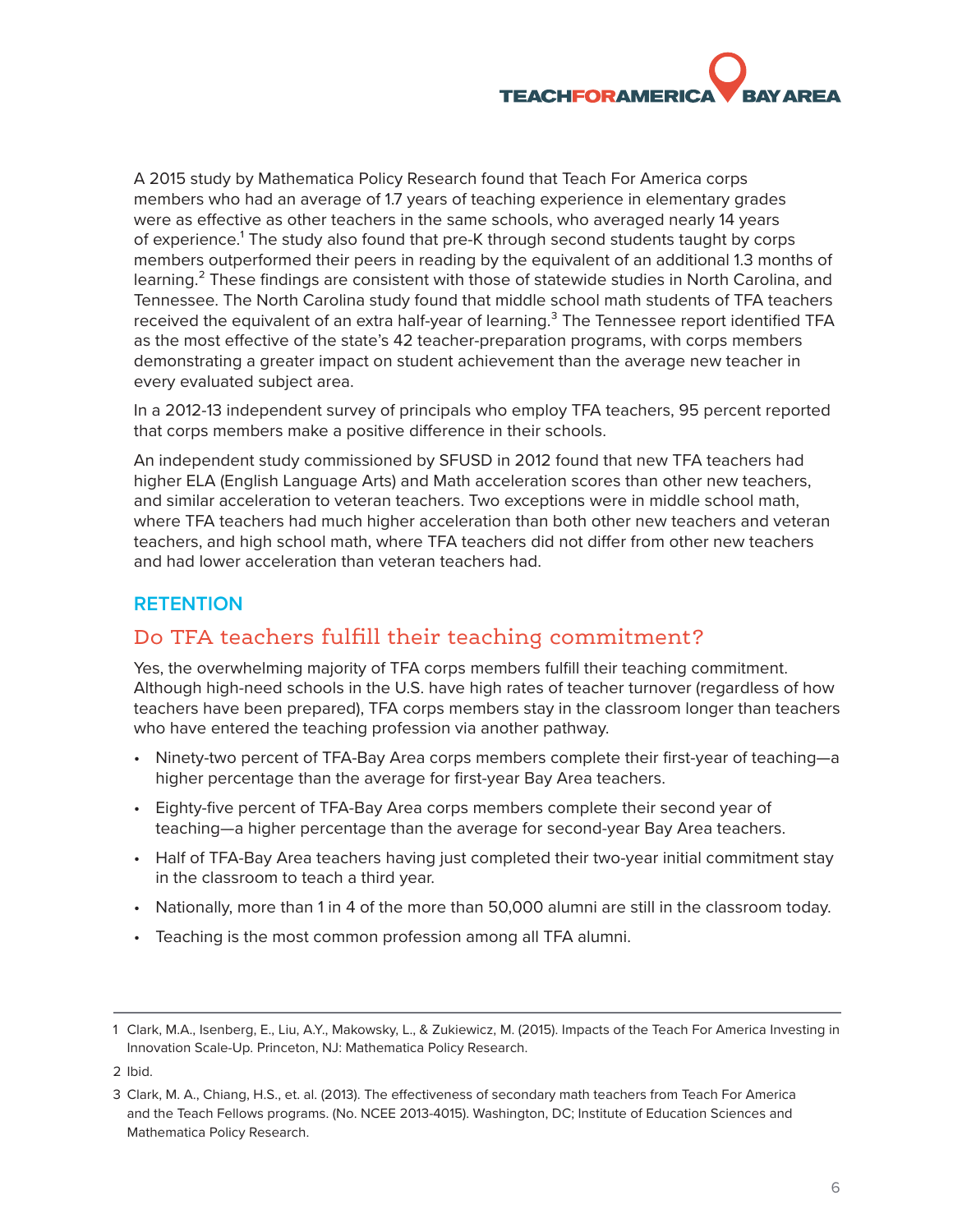<span id="page-6-0"></span>A 2015 study by Mathematica Policy Research found that Teach For America corps members who had an average of 1.7 years of teaching experience in elementary grades were as effective as other teachers in the same schools, who averaged nearly 14 years of experience.<sup>1</sup> The study also found that pre-K through second students taught by corps members outperformed their peers in reading by the equivalent of an additional 1.3 months of learning.<sup>2</sup> These findings are consistent with those of statewide studies in North Carolina, and Tennessee. The North Carolina study found that middle school math students of TFA teachers received the equivalent of an extra half-year of learning.<sup>3</sup> The Tennessee report identified TFA as the most effective of the state's 42 teacher-preparation programs, with corps members demonstrating a greater impact on student achievement than the average new teacher in every evaluated subject area.

In a 2012-13 independent survey of principals who employ TFA teachers, 95 percent reported that corps members make a positive difference in their schools.

An independent study commissioned by SFUSD in 2012 found that new TFA teachers had higher ELA (English Language Arts) and Math acceleration scores than other new teachers, and similar acceleration to veteran teachers. Two exceptions were in middle school math, where TFA teachers had much higher acceleration than both other new teachers and veteran teachers, and high school math, where TFA teachers did not differ from other new teachers and had lower acceleration than veteran teachers had.

#### **RETENTION**

# Do TFA teachers fulfill their teaching commitment?

Yes, the overwhelming majority of TFA corps members fulfill their teaching commitment. Although high-need schools in the U.S. have high rates of teacher turnover (regardless of how teachers have been prepared), TFA corps members stay in the classroom longer than teachers who have entered the teaching profession via another pathway.

- Ninety-two percent of TFA-Bay Area corps members complete their first-year of teaching—a higher percentage than the average for first-year Bay Area teachers.
- Eighty-five percent of TFA-Bay Area corps members complete their second year of teaching—a higher percentage than the average for second-year Bay Area teachers.
- Half of TFA-Bay Area teachers having just completed their two-year initial commitment stay in the classroom to teach a third year.
- Nationally, more than 1 in 4 of the more than 50,000 alumni are still in the classroom today.
- Teaching is the most common profession among all TFA alumni.

<sup>1</sup> Clark, M.A., Isenberg, E., Liu, A.Y., Makowsky, L., & Zukiewicz, M. (2015). Impacts of the Teach For America Investing in Innovation Scale-Up. Princeton, NJ: Mathematica Policy Research.

<sup>2</sup> Ibid.

<sup>3</sup> Clark, M. A., Chiang, H.S., et. al. (2013). The effectiveness of secondary math teachers from Teach For America and the Teach Fellows programs. (No. NCEE 2013-4015). Washington, DC; Institute of Education Sciences and Mathematica Policy Research.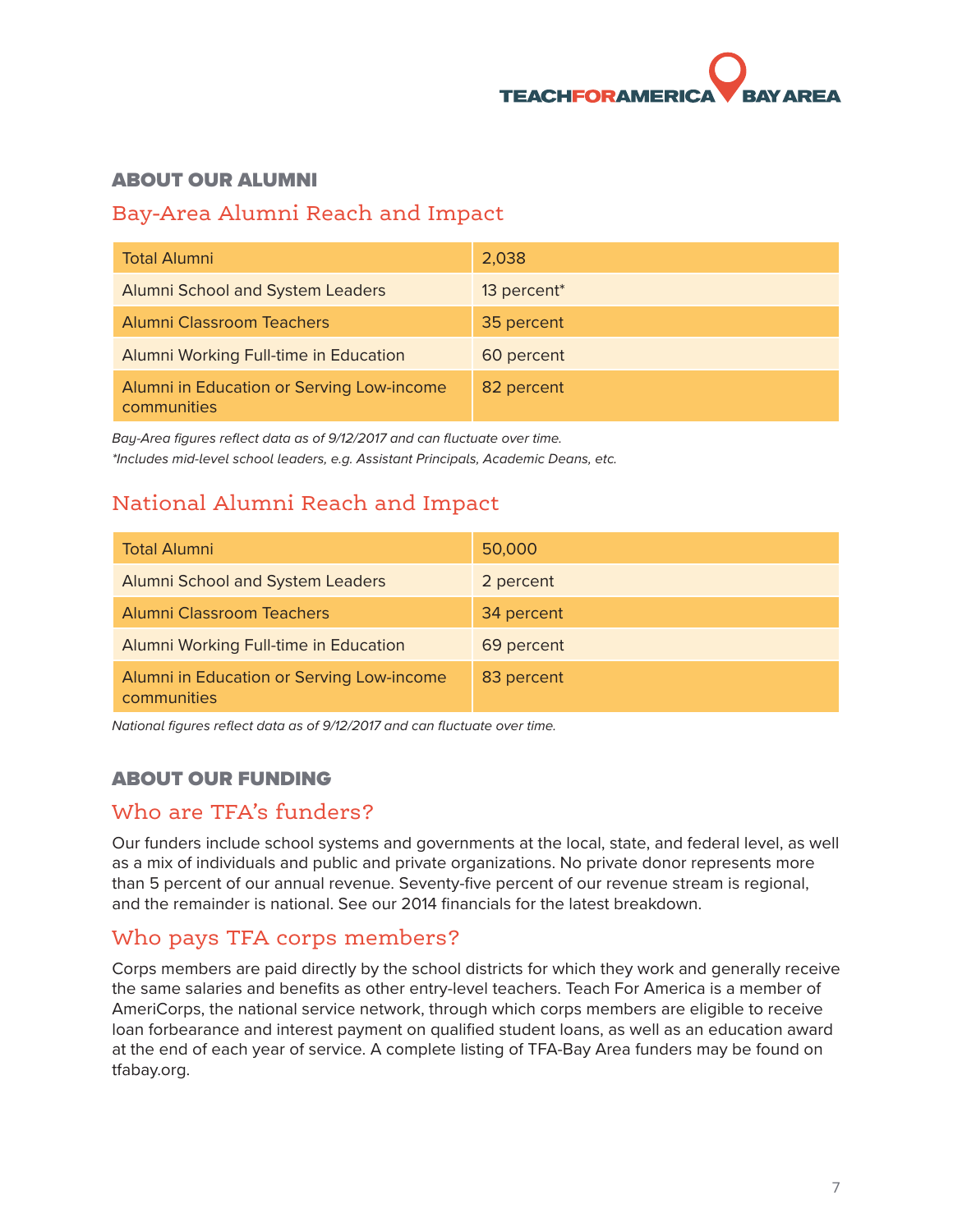

#### <span id="page-7-0"></span>ABOUT OUR ALUMNI

# Bay-Area Alumni Reach and Impact

| <b>Total Alumni</b>                                      | 2,038                   |
|----------------------------------------------------------|-------------------------|
| <b>Alumni School and System Leaders</b>                  | 13 percent <sup>*</sup> |
| <b>Alumni Classroom Teachers</b>                         | 35 percent              |
| Alumni Working Full-time in Education                    | 60 percent              |
| Alumni in Education or Serving Low-income<br>communities | 82 percent              |

*Bay-Area figures reflect data as of 9/12/2017 and can fluctuate over time. \*Includes mid-level school leaders, e.g. Assistant Principals, Academic Deans, etc.* 

# National Alumni Reach and Impact

| <b>Total Alumni</b>                                      | 50,000     |
|----------------------------------------------------------|------------|
| <b>Alumni School and System Leaders</b>                  | 2 percent  |
| <b>Alumni Classroom Teachers</b>                         | 34 percent |
| Alumni Working Full-time in Education                    | 69 percent |
| Alumni in Education or Serving Low-income<br>communities | 83 percent |

*National figures reflect data as of 9/12/2017 and can fluctuate over time.* 

#### ABOUT OUR FUNDING

# Who are TFA's funders?

Our funders include school systems and governments at the local, state, and federal level, as well as a mix of individuals and public and private organizations. No private donor represents more than 5 percent of our annual revenue. Seventy-five percent of our revenue stream is regional, and the remainder is national. See our 2014 financials for the latest breakdown.

# Who pays TFA corps members?

Corps members are paid directly by the school districts for which they work and generally receive the same salaries and benefits as other entry-level teachers. Teach For America is a member of AmeriCorps, the national service network, through which corps members are eligible to receive loan forbearance and interest payment on qualified student loans, as well as an education award at the end of each year of service. A complete listing of TFA-Bay Area funders may be found on tfabay.org.